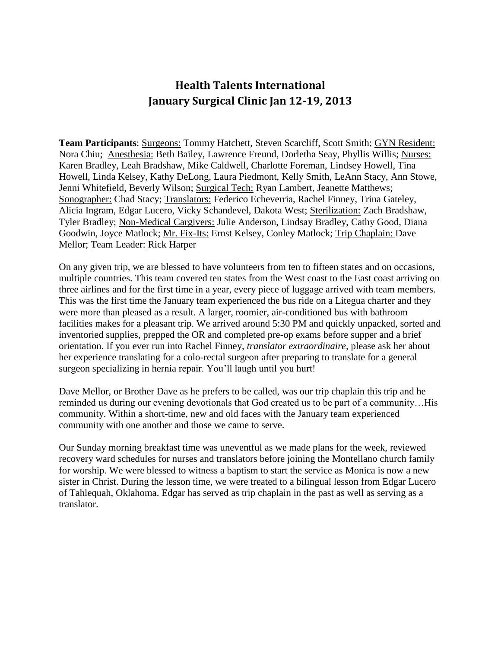## **Health Talents International January Surgical Clinic Jan 12-19, 2013**

**Team Participants**: Surgeons: Tommy Hatchett, Steven Scarcliff, Scott Smith; GYN Resident: Nora Chiu; Anesthesia: Beth Bailey, Lawrence Freund, Dorletha Seay, Phyllis Willis; Nurses: Karen Bradley, Leah Bradshaw, Mike Caldwell, Charlotte Foreman, Lindsey Howell, Tina Howell, Linda Kelsey, Kathy DeLong, Laura Piedmont, Kelly Smith, LeAnn Stacy, Ann Stowe, Jenni Whitefield, Beverly Wilson; Surgical Tech: Ryan Lambert, Jeanette Matthews; Sonographer: Chad Stacy; Translators: Federico Echeverria, Rachel Finney, Trina Gateley, Alicia Ingram, Edgar Lucero, Vicky Schandevel, Dakota West; Sterilization: Zach Bradshaw, Tyler Bradley; Non-Medical Cargivers: Julie Anderson, Lindsay Bradley, Cathy Good, Diana Goodwin, Joyce Matlock; Mr. Fix-Its: Ernst Kelsey, Conley Matlock; Trip Chaplain: Dave Mellor; Team Leader: Rick Harper

On any given trip, we are blessed to have volunteers from ten to fifteen states and on occasions, multiple countries. This team covered ten states from the West coast to the East coast arriving on three airlines and for the first time in a year, every piece of luggage arrived with team members. This was the first time the January team experienced the bus ride on a Litegua charter and they were more than pleased as a result. A larger, roomier, air-conditioned bus with bathroom facilities makes for a pleasant trip. We arrived around 5:30 PM and quickly unpacked, sorted and inventoried supplies, prepped the OR and completed pre-op exams before supper and a brief orientation. If you ever run into Rachel Finney, *translator extraordinaire,* please ask her about her experience translating for a colo-rectal surgeon after preparing to translate for a general surgeon specializing in hernia repair. You'll laugh until you hurt!

Dave Mellor, or Brother Dave as he prefers to be called, was our trip chaplain this trip and he reminded us during our evening devotionals that God created us to be part of a community…His community. Within a short-time, new and old faces with the January team experienced community with one another and those we came to serve.

Our Sunday morning breakfast time was uneventful as we made plans for the week, reviewed recovery ward schedules for nurses and translators before joining the Montellano church family for worship. We were blessed to witness a baptism to start the service as Monica is now a new sister in Christ. During the lesson time, we were treated to a bilingual lesson from Edgar Lucero of Tahlequah, Oklahoma. Edgar has served as trip chaplain in the past as well as serving as a translator.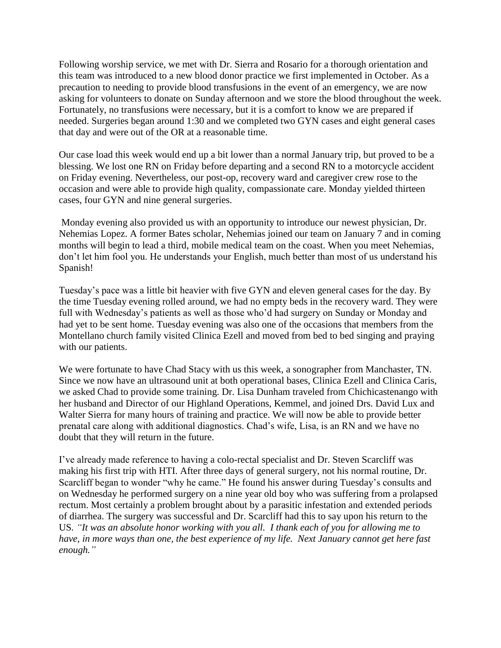Following worship service, we met with Dr. Sierra and Rosario for a thorough orientation and this team was introduced to a new blood donor practice we first implemented in October. As a precaution to needing to provide blood transfusions in the event of an emergency, we are now asking for volunteers to donate on Sunday afternoon and we store the blood throughout the week. Fortunately, no transfusions were necessary, but it is a comfort to know we are prepared if needed. Surgeries began around 1:30 and we completed two GYN cases and eight general cases that day and were out of the OR at a reasonable time.

Our case load this week would end up a bit lower than a normal January trip, but proved to be a blessing. We lost one RN on Friday before departing and a second RN to a motorcycle accident on Friday evening. Nevertheless, our post-op, recovery ward and caregiver crew rose to the occasion and were able to provide high quality, compassionate care. Monday yielded thirteen cases, four GYN and nine general surgeries.

Monday evening also provided us with an opportunity to introduce our newest physician, Dr. Nehemias Lopez. A former Bates scholar, Nehemias joined our team on January 7 and in coming months will begin to lead a third, mobile medical team on the coast. When you meet Nehemias, don't let him fool you. He understands your English, much better than most of us understand his Spanish!

Tuesday's pace was a little bit heavier with five GYN and eleven general cases for the day. By the time Tuesday evening rolled around, we had no empty beds in the recovery ward. They were full with Wednesday's patients as well as those who'd had surgery on Sunday or Monday and had yet to be sent home. Tuesday evening was also one of the occasions that members from the Montellano church family visited Clinica Ezell and moved from bed to bed singing and praying with our patients.

We were fortunate to have Chad Stacy with us this week, a sonographer from Manchaster, TN. Since we now have an ultrasound unit at both operational bases, Clinica Ezell and Clinica Caris, we asked Chad to provide some training. Dr. Lisa Dunham traveled from Chichicastenango with her husband and Director of our Highland Operations, Kemmel, and joined Drs. David Lux and Walter Sierra for many hours of training and practice. We will now be able to provide better prenatal care along with additional diagnostics. Chad's wife, Lisa, is an RN and we have no doubt that they will return in the future.

I've already made reference to having a colo-rectal specialist and Dr. Steven Scarcliff was making his first trip with HTI. After three days of general surgery, not his normal routine, Dr. Scarcliff began to wonder "why he came." He found his answer during Tuesday's consults and on Wednesday he performed surgery on a nine year old boy who was suffering from a prolapsed rectum. Most certainly a problem brought about by a parasitic infestation and extended periods of diarrhea. The surgery was successful and Dr. Scarcliff had this to say upon his return to the US*. "It was an absolute honor working with you all. I thank each of you for allowing me to have, in more ways than one, the best experience of my life. Next January cannot get here fast enough."*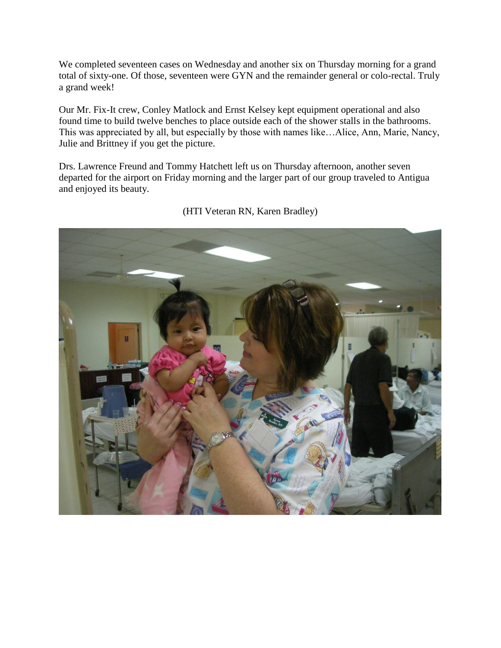We completed seventeen cases on Wednesday and another six on Thursday morning for a grand total of sixty-one. Of those, seventeen were GYN and the remainder general or colo-rectal. Truly a grand week!

Our Mr. Fix-It crew, Conley Matlock and Ernst Kelsey kept equipment operational and also found time to build twelve benches to place outside each of the shower stalls in the bathrooms. This was appreciated by all, but especially by those with names like…Alice, Ann, Marie, Nancy, Julie and Brittney if you get the picture.

Drs. Lawrence Freund and Tommy Hatchett left us on Thursday afternoon, another seven departed for the airport on Friday morning and the larger part of our group traveled to Antigua and enjoyed its beauty.



## (HTI Veteran RN, Karen Bradley)